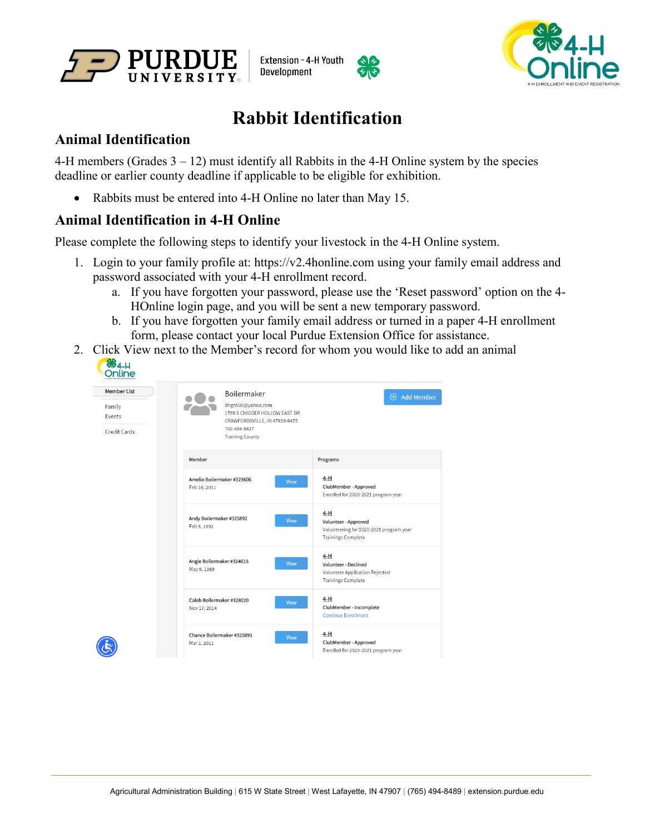





## **Rabbit Identification**

## **Animal Identification**

4-H members (Grades 3 – 12) must identify all Rabbits in the 4-H Online system by the species deadline or earlier county deadline if applicable to be eligible for exhibition.

• Rabbits must be entered into 4-H Online no later than May 15.

## **Animal Identification in 4-H Online**

Please complete the following steps to identify your livestock in the 4-H Online system.

- 1. Login to your family profile at: https://v2.4honline.com using your family email address and password associated with your 4-H enrollment record.
	- a. If you have forgotten your password, please use the 'Reset password' option on the 4- HOnline login page, and you will be sent a new temporary password.
	- b. If you have forgotten your family email address or turned in a paper 4-H enrollment form, please contact your local Purdue Extension Office for assistance.
- 2. Click View next to the Member's record for whom you would like to add an animal  $\sqrt{\frac{26}{15}}$

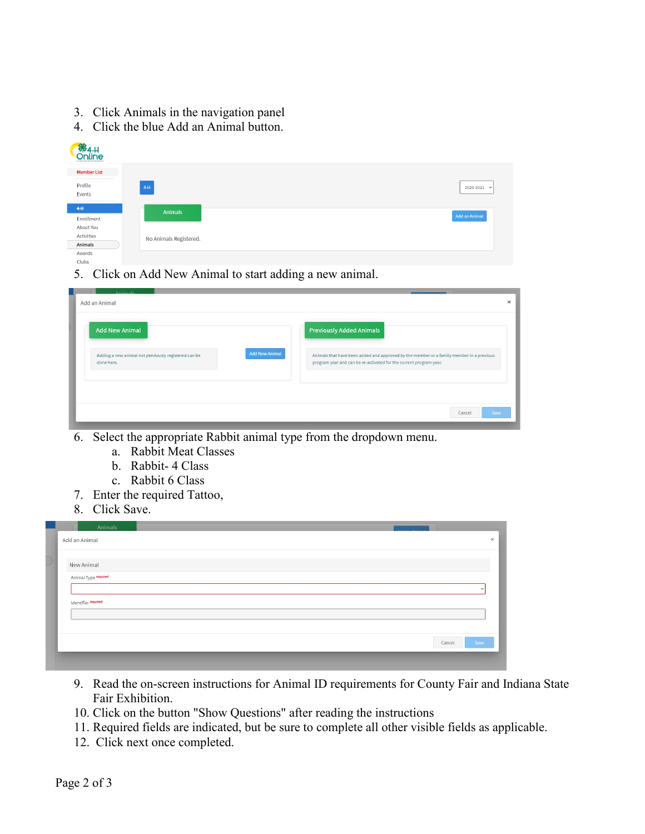- 3. Click Animals in the navigation panel
- 4. Click the blue Add an Animal button.

| <b>S</b> <sub>64-H</sub><br>Online<br>A HI ENROLL MENT AND EVENT INTOXITATION |                        |                      |
|-------------------------------------------------------------------------------|------------------------|----------------------|
| <b>Member List</b>                                                            |                        |                      |
| Profile<br>Events                                                             | $4-H$                  | 2020-2021 $\sim$     |
| $4-H$                                                                         | Animals                |                      |
| Enrollment                                                                    |                        | <b>Add an Animal</b> |
| About You                                                                     |                        |                      |
| Activities                                                                    | No Animals Registered. |                      |
| Animals                                                                       |                        |                      |
| Awards                                                                        |                        |                      |
| <b>Clubs</b>                                                                  |                        |                      |

5. Click on Add New Animal to start adding a new animal.

| <b>Add New Animal</b>                                              |                       | <b>Previously Added Animals</b>                                                                                                                                |
|--------------------------------------------------------------------|-----------------------|----------------------------------------------------------------------------------------------------------------------------------------------------------------|
| Adding a new animal not previously registered can be<br>done here. | <b>Add New Animal</b> | Animals that have been added and approved by the member or a family member in a previous<br>program year and can be re-activated for the current program year. |
|                                                                    |                       |                                                                                                                                                                |

- 6. Select the appropriate Rabbit animal type from the dropdown menu.
	- a. Rabbit Meat Classes
	- b. Rabbit- 4 Class
	- c. Rabbit 6 Class
- 7. Enter the required Tattoo,
- 8. Click Save.

| Add an Animal        |  |  |        |      |
|----------------------|--|--|--------|------|
| New Animal           |  |  |        |      |
| Animal Type required |  |  |        |      |
|                      |  |  |        |      |
| Identifier required  |  |  |        |      |
|                      |  |  |        |      |
|                      |  |  | Cancel | Save |

- 9. Read the on-screen instructions for Animal ID requirements for County Fair and Indiana State Fair Exhibition.
- 10. Click on the button "Show Questions" after reading the instructions
- 11. Required fields are indicated, but be sure to complete all other visible fields as applicable.
- 12. Click next once completed.